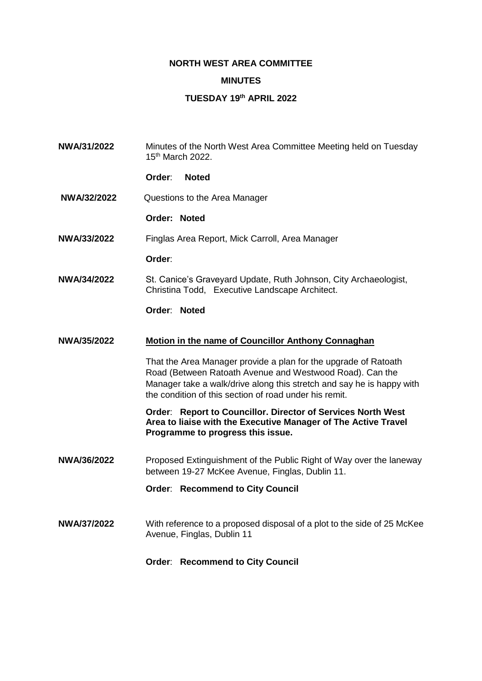## **NORTH WEST AREA COMMITTEE**

## **MINUTES**

## **TUESDAY 19th APRIL 2022**

**NWA/31/2022** Minutes of the North West Area Committee Meeting held on Tuesday 15th March 2022. **Order**: **Noted NWA/32/2022** Questions to the Area Manager **Order: Noted NWA/33/2022** Finglas Area Report, Mick Carroll, Area Manager **Order**: **NWA/34/2022** St. Canice's Graveyard Update, Ruth Johnson, City Archaeologist, Christina Todd, Executive Landscape Architect. **Order**: **Noted NWA/35/2022 Motion in the name of Councillor Anthony Connaghan** That the Area Manager provide a plan for the upgrade of Ratoath Road (Between Ratoath Avenue and Westwood Road). Can the Manager take a walk/drive along this stretch and say he is happy with the condition of this section of road under his remit. **Order**: **Report to Councillor. Director of Services North West Area to liaise with the Executive Manager of The Active Travel Programme to progress this issue. NWA/36/2022** Proposed Extinguishment of the Public Right of Way over the laneway between 19-27 McKee Avenue, Finglas, Dublin 11. **Order**: **Recommend to City Council NWA/37/2022** With reference to a proposed disposal of a plot to the side of 25 McKee Avenue, Finglas, Dublin 11 **Order**: **Recommend to City Council**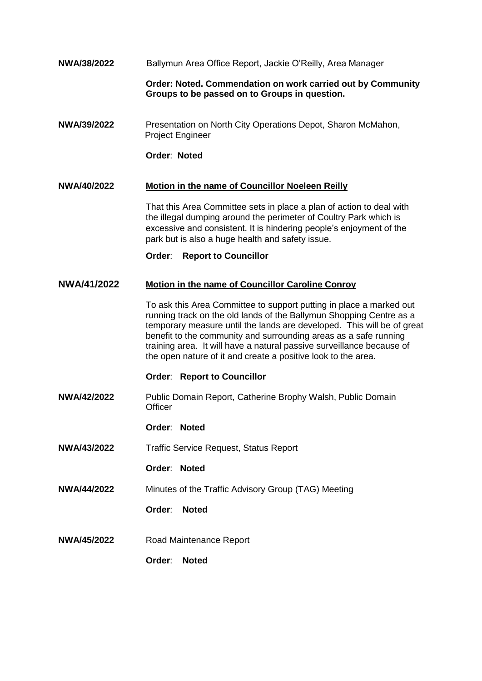**NWA/38/2022** Ballymun Area Office Report, Jackie O'Reilly, Area Manager

**Order: Noted. Commendation on work carried out by Community Groups to be passed on to Groups in question.**

**NWA/39/2022** Presentation on North City Operations Depot, Sharon McMahon, Project Engineer

**Order**: **Noted**

## **NWA/40/2022 Motion in the name of Councillor Noeleen Reilly**

That this Area Committee sets in place a plan of action to deal with the illegal dumping around the perimeter of Coultry Park which is excessive and consistent. It is hindering people's enjoyment of the park but is also a huge health and safety issue.

**Order**: **Report to Councillor**

### **NWA/41/2022 Motion in the name of Councillor Caroline Conroy**

To ask this Area Committee to support putting in place a marked out running track on the old lands of the Ballymun Shopping Centre as a temporary measure until the lands are developed. This will be of great benefit to the community and surrounding areas as a safe running training area. It will have a natural passive surveillance because of the open nature of it and create a positive look to the area.

#### **Order**: **Report to Councillor**

**NWA/42/2022** Public Domain Report, Catherine Brophy Walsh, Public Domain **Officer** 

## **Order**: **Noted**

- **NWA/43/2022** Traffic Service Request, Status Report
	- **Order**: **Noted**
- **NWA/44/2022** Minutes of the Traffic Advisory Group (TAG) Meeting
	- **Order**: **Noted**
- **NWA/45/2022** Road Maintenance Report

# **Order**: **Noted**